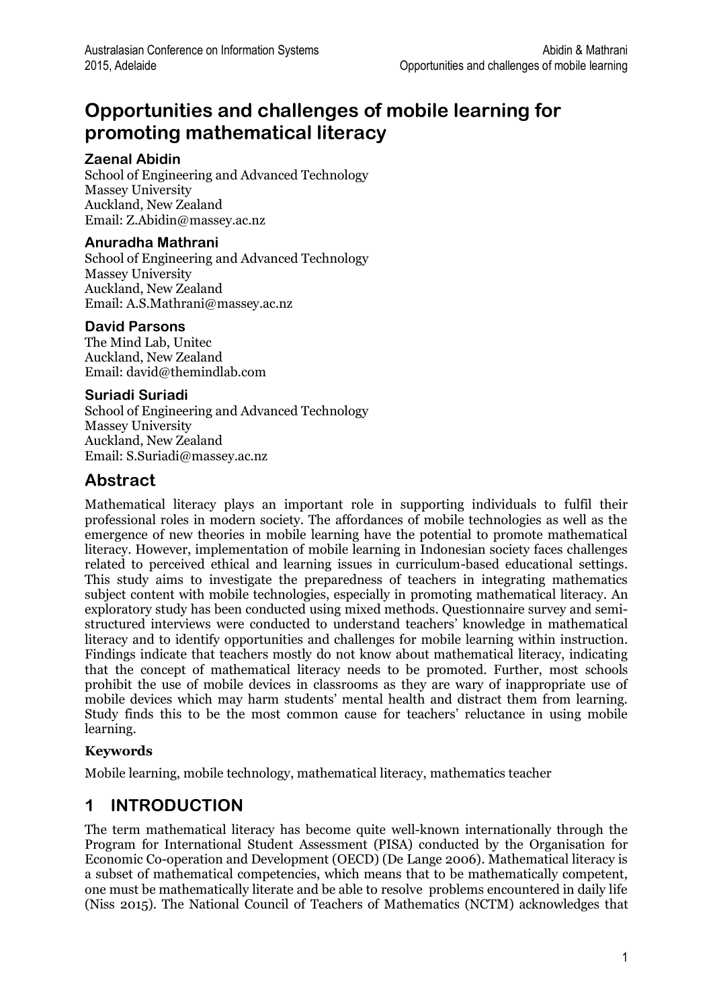# **Opportunities and challenges of mobile learning for promoting mathematical literacy**

### **Zaenal Abidin**

School of Engineering and Advanced Technology Massey University Auckland, New Zealand Email: Z.Abidin@massey.ac.nz

#### **Anuradha Mathrani**

School of Engineering and Advanced Technology Massey University Auckland, New Zealand Email: A.S.Mathrani@massey.ac.nz

#### **David Parsons**

The Mind Lab, Unitec Auckland, New Zealand Email: david@themindlab.com

#### **Suriadi Suriadi**

School of Engineering and Advanced Technology Massey University Auckland, New Zealand Email: S.Suriadi@massey.ac.nz

## **Abstract**

Mathematical literacy plays an important role in supporting individuals to fulfil their professional roles in modern society. The affordances of mobile technologies as well as the emergence of new theories in mobile learning have the potential to promote mathematical literacy. However, implementation of mobile learning in Indonesian society faces challenges related to perceived ethical and learning issues in curriculum-based educational settings. This study aims to investigate the preparedness of teachers in integrating mathematics subject content with mobile technologies, especially in promoting mathematical literacy. An exploratory study has been conducted using mixed methods. Questionnaire survey and semistructured interviews were conducted to understand teachers' knowledge in mathematical literacy and to identify opportunities and challenges for mobile learning within instruction. Findings indicate that teachers mostly do not know about mathematical literacy, indicating that the concept of mathematical literacy needs to be promoted. Further, most schools prohibit the use of mobile devices in classrooms as they are wary of inappropriate use of mobile devices which may harm students' mental health and distract them from learning. Study finds this to be the most common cause for teachers' reluctance in using mobile learning.

### **Keywords**

Mobile learning, mobile technology, mathematical literacy, mathematics teacher

## **1 INTRODUCTION**

The term mathematical literacy has become quite well-known internationally through the Program for International Student Assessment (PISA) conducted by the Organisation for Economic Co-operation and Development (OECD) (De Lange 2006). Mathematical literacy is a subset of mathematical competencies, which means that to be mathematically competent, one must be mathematically literate and be able to resolve problems encountered in daily life (Niss 2015). The National Council of Teachers of Mathematics (NCTM) acknowledges that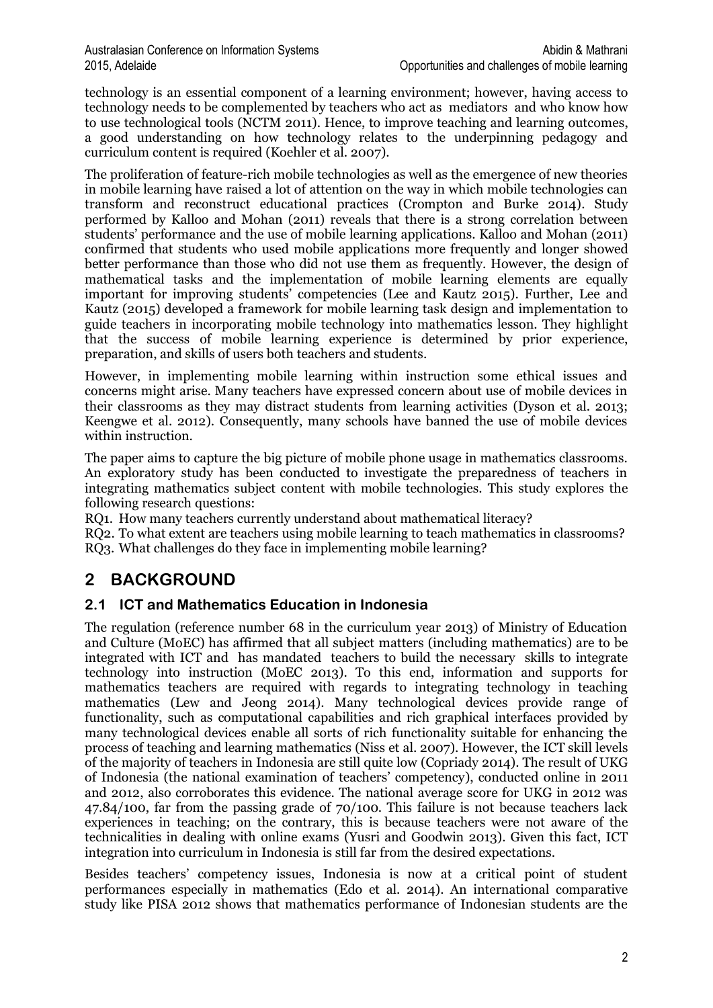technology is an essential component of a learning environment; however, having access to technology needs to be complemented by teachers who act as mediators and who know how to use technological tools (NCTM 2011). Hence, to improve teaching and learning outcomes, a good understanding on how technology relates to the underpinning pedagogy and curriculum content is required (Koehler et al. 2007).

The proliferation of feature-rich mobile technologies as well as the emergence of new theories in mobile learning have raised a lot of attention on the way in which mobile technologies can transform and reconstruct educational practices (Crompton and Burke 2014). Study performed by Kalloo and Mohan (2011) reveals that there is a strong correlation between students' performance and the use of mobile learning applications. Kalloo and Mohan (2011) confirmed that students who used mobile applications more frequently and longer showed better performance than those who did not use them as frequently. However, the design of mathematical tasks and the implementation of mobile learning elements are equally important for improving students' competencies (Lee and Kautz 2015). Further, Lee and Kautz (2015) developed a framework for mobile learning task design and implementation to guide teachers in incorporating mobile technology into mathematics lesson. They highlight that the success of mobile learning experience is determined by prior experience, preparation, and skills of users both teachers and students.

However, in implementing mobile learning within instruction some ethical issues and concerns might arise. Many teachers have expressed concern about use of mobile devices in their classrooms as they may distract students from learning activities (Dyson et al. 2013; Keengwe et al. 2012). Consequently, many schools have banned the use of mobile devices within instruction.

The paper aims to capture the big picture of mobile phone usage in mathematics classrooms. An exploratory study has been conducted to investigate the preparedness of teachers in integrating mathematics subject content with mobile technologies. This study explores the following research questions:

RQ1. How many teachers currently understand about mathematical literacy?

RQ2. To what extent are teachers using mobile learning to teach mathematics in classrooms? RQ3. What challenges do they face in implementing mobile learning?

# **2 BACKGROUND**

### **2.1 ICT and Mathematics Education in Indonesia**

The regulation (reference number 68 in the curriculum year 2013) of Ministry of Education and Culture (MoEC) has affirmed that all subject matters (including mathematics) are to be integrated with ICT and has mandated teachers to build the necessary skills to integrate technology into instruction (MoEC 2013). To this end, information and supports for mathematics teachers are required with regards to integrating technology in teaching mathematics (Lew and Jeong 2014). Many technological devices provide range of functionality, such as computational capabilities and rich graphical interfaces provided by many technological devices enable all sorts of rich functionality suitable for enhancing the process of teaching and learning mathematics (Niss et al. 2007). However, the ICT skill levels of the majority of teachers in Indonesia are still quite low (Copriady 2014). The result of UKG of Indonesia (the national examination of teachers' competency), conducted online in 2011 and 2012, also corroborates this evidence. The national average score for UKG in 2012 was 47.84/100, far from the passing grade of 70/100. This failure is not because teachers lack experiences in teaching; on the contrary, this is because teachers were not aware of the technicalities in dealing with online exams (Yusri and Goodwin 2013). Given this fact, ICT integration into curriculum in Indonesia is still far from the desired expectations.

Besides teachers' competency issues, Indonesia is now at a critical point of student performances especially in mathematics (Edo et al. 2014). An international comparative study like PISA 2012 shows that mathematics performance of Indonesian students are the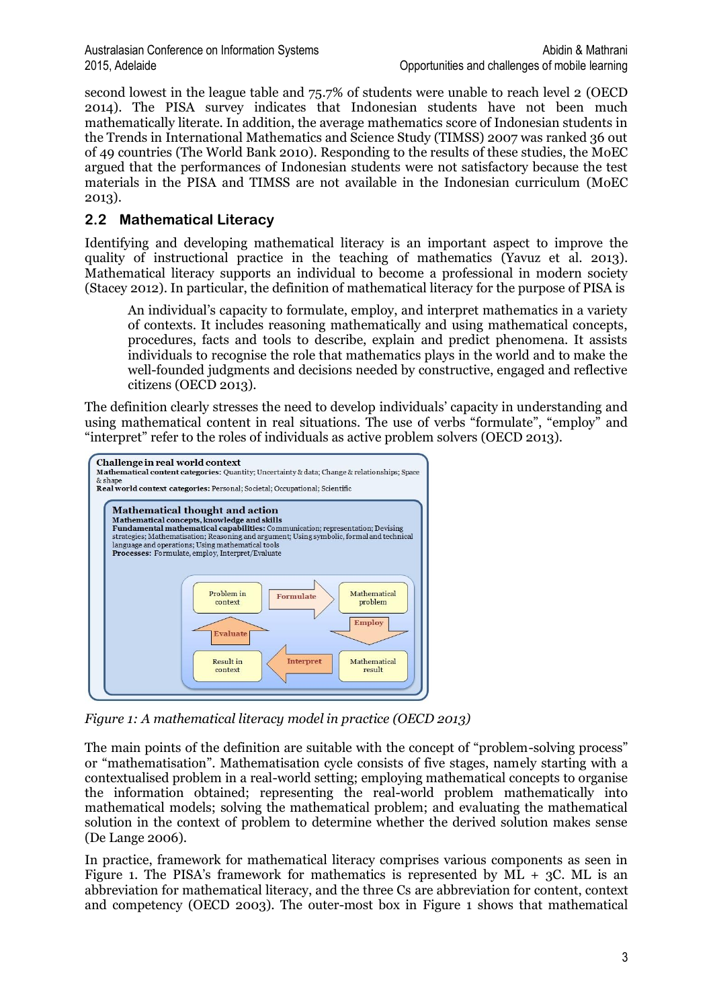second lowest in the league table and 75.7% of students were unable to reach level 2 (OECD 2014). The PISA survey indicates that Indonesian students have not been much mathematically literate. In addition, the average mathematics score of Indonesian students in the Trends in International Mathematics and Science Study (TIMSS) 2007 was ranked 36 out of 49 countries (The World Bank 2010). Responding to the results of these studies, the MoEC argued that the performances of Indonesian students were not satisfactory because the test materials in the PISA and TIMSS are not available in the Indonesian curriculum (MoEC 2013).

## **2.2 Mathematical Literacy**

Identifying and developing mathematical literacy is an important aspect to improve the quality of instructional practice in the teaching of mathematics (Yavuz et al. 2013). Mathematical literacy supports an individual to become a professional in modern society (Stacey 2012). In particular, the definition of mathematical literacy for the purpose of PISA is

An individual's capacity to formulate, employ, and interpret mathematics in a variety of contexts. It includes reasoning mathematically and using mathematical concepts, procedures, facts and tools to describe, explain and predict phenomena. It assists individuals to recognise the role that mathematics plays in the world and to make the well-founded judgments and decisions needed by constructive, engaged and reflective citizens (OECD 2013).

The definition clearly stresses the need to develop individuals' capacity in understanding and using mathematical content in real situations. The use of verbs "formulate", "employ" and "interpret" refer to the roles of individuals as active problem solvers (OECD 2013).



<span id="page-2-0"></span>*Figure 1: A mathematical literacy model in practice (OECD 2013)*

The main points of the definition are suitable with the concept of "problem-solving process" or "mathematisation". Mathematisation cycle consists of five stages, namely starting with a contextualised problem in a real-world setting; employing mathematical concepts to organise the information obtained; representing the real-world problem mathematically into mathematical models; solving the mathematical problem; and evaluating the mathematical solution in the context of problem to determine whether the derived solution makes sense (De Lange 2006).

In practice, framework for mathematical literacy comprises various components as seen in [Figure 1.](#page-2-0) The PISA's framework for mathematics is represented by  $\overline{ML}$  + 3C. ML is an abbreviation for mathematical literacy, and the three Cs are abbreviation for content, context and competency (OECD 2003). The outer-most box in [Figure 1](#page-2-0) shows that mathematical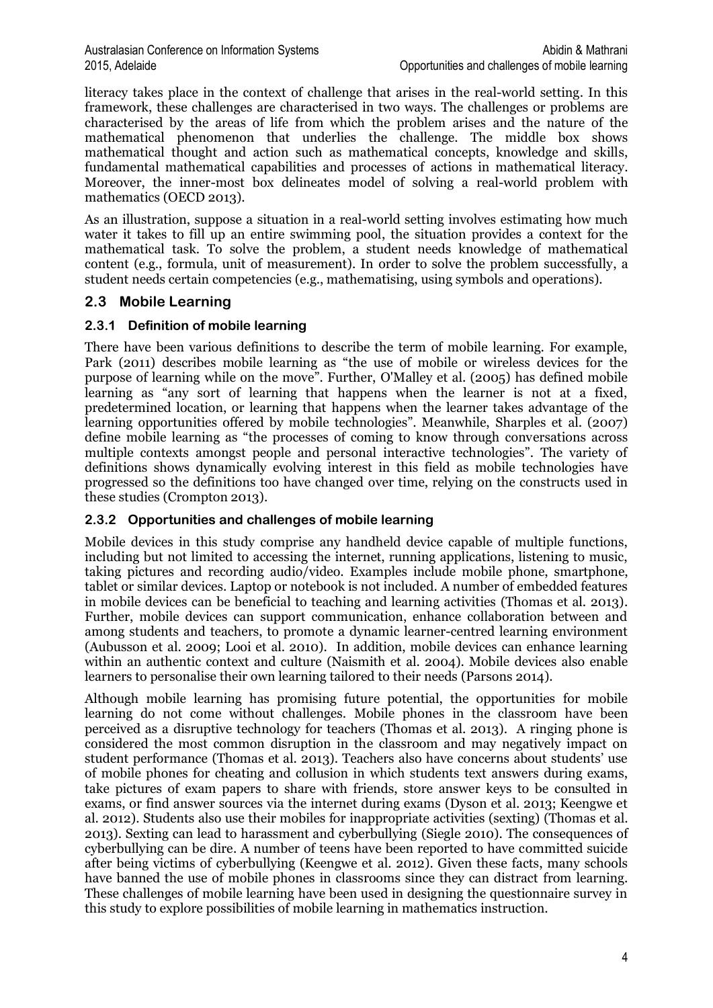literacy takes place in the context of challenge that arises in the real-world setting. In this framework, these challenges are characterised in two ways. The challenges or problems are characterised by the areas of life from which the problem arises and the nature of the mathematical phenomenon that underlies the challenge. The middle box shows mathematical thought and action such as mathematical concepts, knowledge and skills, fundamental mathematical capabilities and processes of actions in mathematical literacy. Moreover, the inner-most box delineates model of solving a real-world problem with mathematics (OECD 2013).

As an illustration, suppose a situation in a real-world setting involves estimating how much water it takes to fill up an entire swimming pool, the situation provides a context for the mathematical task. To solve the problem, a student needs knowledge of mathematical content (e.g., formula, unit of measurement). In order to solve the problem successfully, a student needs certain competencies (e.g., mathematising, using symbols and operations).

### **2.3 Mobile Learning**

### **2.3.1 Definition of mobile learning**

There have been various definitions to describe the term of mobile learning. For example, Park (2011) describes mobile learning as "the use of mobile or wireless devices for the purpose of learning while on the move". Further, O'Malley et al. (2005) has defined mobile learning as "any sort of learning that happens when the learner is not at a fixed, predetermined location, or learning that happens when the learner takes advantage of the learning opportunities offered by mobile technologies". Meanwhile, Sharples et al. (2007) define mobile learning as "the processes of coming to know through conversations across multiple contexts amongst people and personal interactive technologies". The variety of definitions shows dynamically evolving interest in this field as mobile technologies have progressed so the definitions too have changed over time, relying on the constructs used in these studies (Crompton 2013).

### **2.3.2 Opportunities and challenges of mobile learning**

Mobile devices in this study comprise any handheld device capable of multiple functions, including but not limited to accessing the internet, running applications, listening to music, taking pictures and recording audio/video. Examples include mobile phone, smartphone, tablet or similar devices. Laptop or notebook is not included. A number of embedded features in mobile devices can be beneficial to teaching and learning activities (Thomas et al. 2013). Further, mobile devices can support communication, enhance collaboration between and among students and teachers, to promote a dynamic learner-centred learning environment (Aubusson et al. 2009; Looi et al. 2010). In addition, mobile devices can enhance learning within an authentic context and culture (Naismith et al. 2004). Mobile devices also enable learners to personalise their own learning tailored to their needs (Parsons 2014).

Although mobile learning has promising future potential, the opportunities for mobile learning do not come without challenges. Mobile phones in the classroom have been perceived as a disruptive technology for teachers (Thomas et al. 2013). A ringing phone is considered the most common disruption in the classroom and may negatively impact on student performance (Thomas et al. 2013). Teachers also have concerns about students' use of mobile phones for cheating and collusion in which students text answers during exams, take pictures of exam papers to share with friends, store answer keys to be consulted in exams, or find answer sources via the internet during exams (Dyson et al. 2013; Keengwe et al. 2012). Students also use their mobiles for inappropriate activities (sexting) (Thomas et al. 2013). Sexting can lead to harassment and cyberbullying (Siegle 2010). The consequences of cyberbullying can be dire. A number of teens have been reported to have committed suicide after being victims of cyberbullying (Keengwe et al. 2012). Given these facts, many schools have banned the use of mobile phones in classrooms since they can distract from learning. These challenges of mobile learning have been used in designing the questionnaire survey in this study to explore possibilities of mobile learning in mathematics instruction.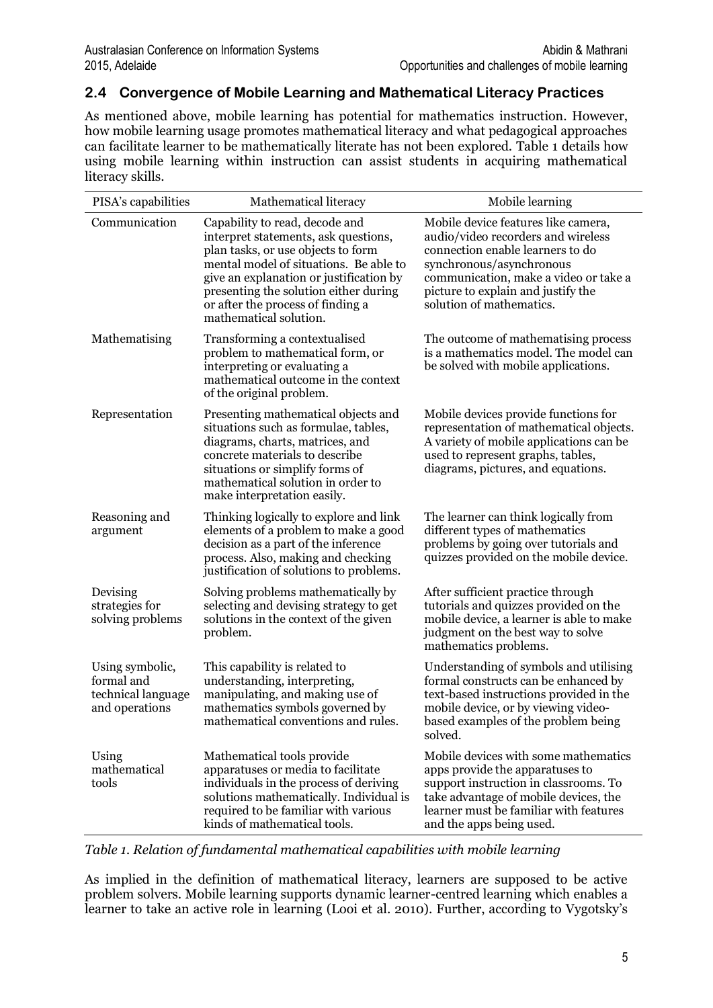### **2.4 Convergence of Mobile Learning and Mathematical Literacy Practices**

As mentioned above, mobile learning has potential for mathematics instruction. However, how mobile learning usage promotes mathematical literacy and what pedagogical approaches can facilitate learner to be mathematically literate has not been explored. [Table 1](#page-4-0) details how using mobile learning within instruction can assist students in acquiring mathematical literacy skills.

| PISA's capabilities                                                   | Mathematical literacy                                                                                                                                                                                                                                                                                     | Mobile learning                                                                                                                                                                                                                                      |
|-----------------------------------------------------------------------|-----------------------------------------------------------------------------------------------------------------------------------------------------------------------------------------------------------------------------------------------------------------------------------------------------------|------------------------------------------------------------------------------------------------------------------------------------------------------------------------------------------------------------------------------------------------------|
| Communication                                                         | Capability to read, decode and<br>interpret statements, ask questions,<br>plan tasks, or use objects to form<br>mental model of situations. Be able to<br>give an explanation or justification by<br>presenting the solution either during<br>or after the process of finding a<br>mathematical solution. | Mobile device features like camera,<br>audio/video recorders and wireless<br>connection enable learners to do<br>synchronous/asynchronous<br>communication, make a video or take a<br>picture to explain and justify the<br>solution of mathematics. |
| Mathematising                                                         | Transforming a contextualised<br>problem to mathematical form, or<br>interpreting or evaluating a<br>mathematical outcome in the context<br>of the original problem.                                                                                                                                      | The outcome of mathematising process<br>is a mathematics model. The model can<br>be solved with mobile applications.                                                                                                                                 |
| Representation                                                        | Presenting mathematical objects and<br>situations such as formulae, tables,<br>diagrams, charts, matrices, and<br>concrete materials to describe<br>situations or simplify forms of<br>mathematical solution in order to<br>make interpretation easily.                                                   | Mobile devices provide functions for<br>representation of mathematical objects.<br>A variety of mobile applications can be<br>used to represent graphs, tables,<br>diagrams, pictures, and equations.                                                |
| Reasoning and<br>argument                                             | Thinking logically to explore and link<br>elements of a problem to make a good<br>decision as a part of the inference<br>process. Also, making and checking<br>justification of solutions to problems.                                                                                                    | The learner can think logically from<br>different types of mathematics<br>problems by going over tutorials and<br>quizzes provided on the mobile device.                                                                                             |
| Devising<br>strategies for<br>solving problems                        | Solving problems mathematically by<br>selecting and devising strategy to get<br>solutions in the context of the given<br>problem.                                                                                                                                                                         | After sufficient practice through<br>tutorials and quizzes provided on the<br>mobile device, a learner is able to make<br>judgment on the best way to solve<br>mathematics problems.                                                                 |
| Using symbolic,<br>formal and<br>technical language<br>and operations | This capability is related to<br>understanding, interpreting,<br>manipulating, and making use of<br>mathematics symbols governed by<br>mathematical conventions and rules.                                                                                                                                | Understanding of symbols and utilising<br>formal constructs can be enhanced by<br>text-based instructions provided in the<br>mobile device, or by viewing video-<br>based examples of the problem being<br>solved.                                   |
| Using<br>mathematical<br>tools                                        | Mathematical tools provide<br>apparatuses or media to facilitate<br>individuals in the process of deriving<br>solutions mathematically. Individual is<br>required to be familiar with various<br>kinds of mathematical tools.                                                                             | Mobile devices with some mathematics<br>apps provide the apparatuses to<br>support instruction in classrooms. To<br>take advantage of mobile devices, the<br>learner must be familiar with features<br>and the apps being used.                      |

<span id="page-4-0"></span>*Table 1. Relation of fundamental mathematical capabilities with mobile learning*

As implied in the definition of mathematical literacy, learners are supposed to be active problem solvers. Mobile learning supports dynamic learner-centred learning which enables a learner to take an active role in learning (Looi et al. 2010). Further, according to Vygotsky's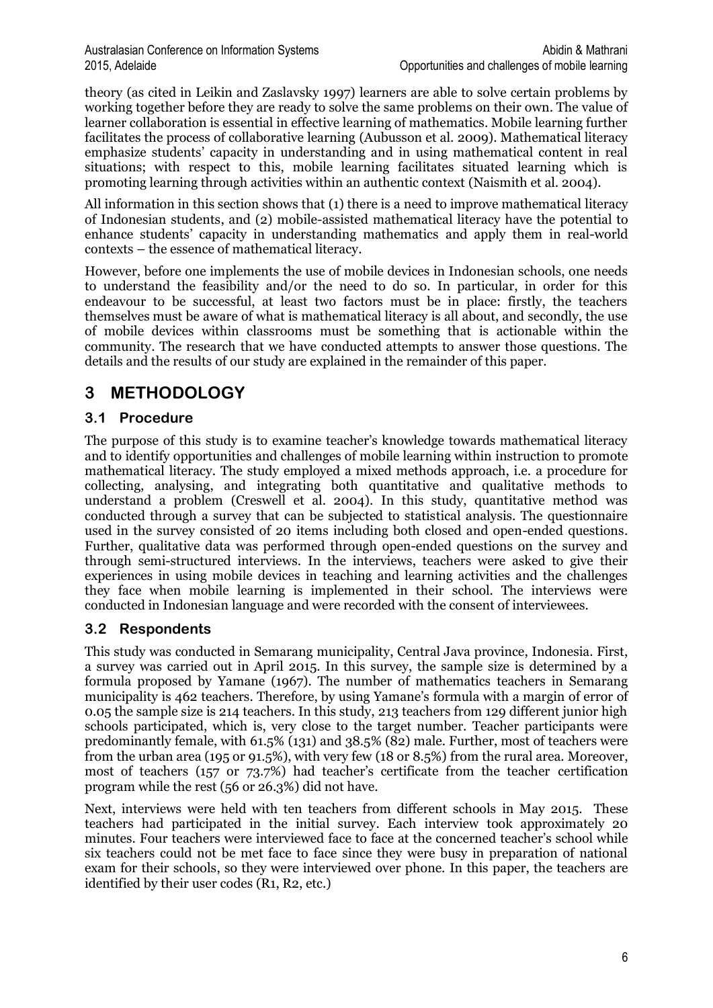theory (as cited in Leikin and Zaslavsky 1997) learners are able to solve certain problems by working together before they are ready to solve the same problems on their own. The value of learner collaboration is essential in effective learning of mathematics. Mobile learning further facilitates the process of collaborative learning (Aubusson et al. 2009). Mathematical literacy emphasize students' capacity in understanding and in using mathematical content in real situations; with respect to this, mobile learning facilitates situated learning which is promoting learning through activities within an authentic context (Naismith et al. 2004).

All information in this section shows that (1) there is a need to improve mathematical literacy of Indonesian students, and (2) mobile-assisted mathematical literacy have the potential to enhance students' capacity in understanding mathematics and apply them in real-world contexts – the essence of mathematical literacy.

However, before one implements the use of mobile devices in Indonesian schools, one needs to understand the feasibility and/or the need to do so. In particular, in order for this endeavour to be successful, at least two factors must be in place: firstly, the teachers themselves must be aware of what is mathematical literacy is all about, and secondly, the use of mobile devices within classrooms must be something that is actionable within the community. The research that we have conducted attempts to answer those questions. The details and the results of our study are explained in the remainder of this paper.

# **3 METHODOLOGY**

## **3.1 Procedure**

The purpose of this study is to examine teacher's knowledge towards mathematical literacy and to identify opportunities and challenges of mobile learning within instruction to promote mathematical literacy. The study employed a mixed methods approach, i.e. a procedure for collecting, analysing, and integrating both quantitative and qualitative methods to understand a problem (Creswell et al. 2004). In this study, quantitative method was conducted through a survey that can be subjected to statistical analysis. The questionnaire used in the survey consisted of 20 items including both closed and open-ended questions. Further, qualitative data was performed through open-ended questions on the survey and through semi-structured interviews. In the interviews, teachers were asked to give their experiences in using mobile devices in teaching and learning activities and the challenges they face when mobile learning is implemented in their school. The interviews were conducted in Indonesian language and were recorded with the consent of interviewees.

## **3.2 Respondents**

This study was conducted in Semarang municipality, Central Java province, Indonesia. First, a survey was carried out in April 2015. In this survey, the sample size is determined by a formula proposed by Yamane (1967). The number of mathematics teachers in Semarang municipality is 462 teachers. Therefore, by using Yamane's formula with a margin of error of 0.05 the sample size is 214 teachers. In this study, 213 teachers from 129 different junior high schools participated, which is, very close to the target number. Teacher participants were predominantly female, with 61.5% (131) and 38.5% (82) male. Further, most of teachers were from the urban area (195 or 91.5%), with very few (18 or 8.5%) from the rural area. Moreover, most of teachers (157 or 73.7%) had teacher's certificate from the teacher certification program while the rest (56 or 26.3%) did not have.

Next, interviews were held with ten teachers from different schools in May 2015. These teachers had participated in the initial survey. Each interview took approximately 20 minutes. Four teachers were interviewed face to face at the concerned teacher's school while six teachers could not be met face to face since they were busy in preparation of national exam for their schools, so they were interviewed over phone. In this paper, the teachers are identified by their user codes (R1, R2, etc.)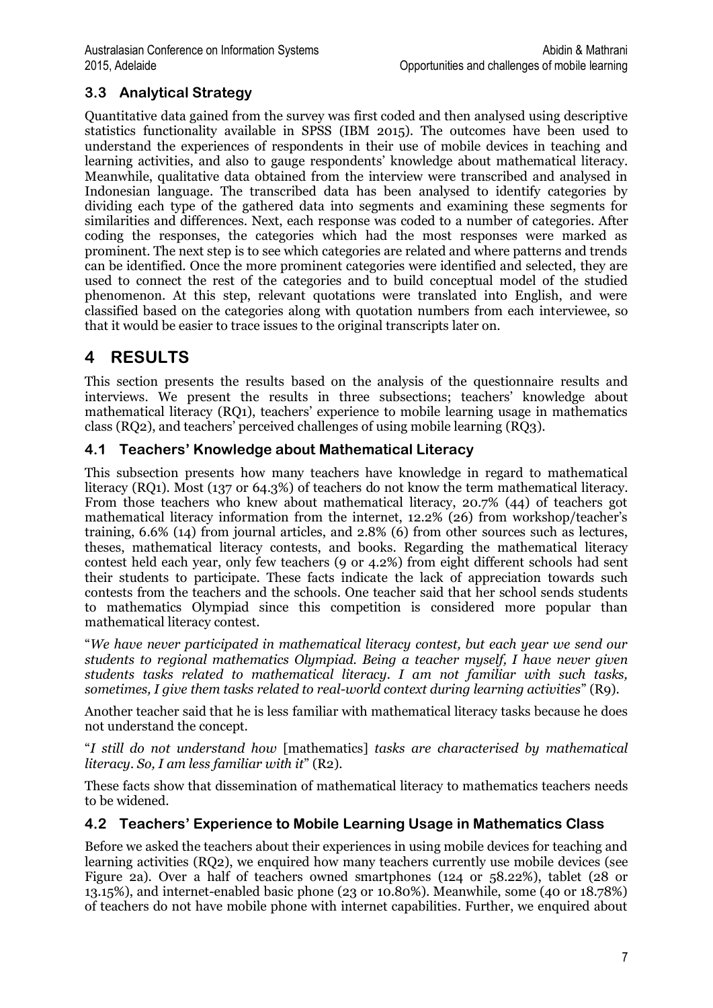## **3.3 Analytical Strategy**

Quantitative data gained from the survey was first coded and then analysed using descriptive statistics functionality available in SPSS (IBM 2015). The outcomes have been used to understand the experiences of respondents in their use of mobile devices in teaching and learning activities, and also to gauge respondents' knowledge about mathematical literacy. Meanwhile, qualitative data obtained from the interview were transcribed and analysed in Indonesian language. The transcribed data has been analysed to identify categories by dividing each type of the gathered data into segments and examining these segments for similarities and differences. Next, each response was coded to a number of categories. After coding the responses, the categories which had the most responses were marked as prominent. The next step is to see which categories are related and where patterns and trends can be identified. Once the more prominent categories were identified and selected, they are used to connect the rest of the categories and to build conceptual model of the studied phenomenon. At this step, relevant quotations were translated into English, and were classified based on the categories along with quotation numbers from each interviewee, so that it would be easier to trace issues to the original transcripts later on.

# **4 RESULTS**

This section presents the results based on the analysis of the questionnaire results and interviews. We present the results in three subsections; teachers' knowledge about mathematical literacy (RQ1), teachers' experience to mobile learning usage in mathematics class (RQ2), and teachers' perceived challenges of using mobile learning (RQ3).

### **4.1 Teachers' Knowledge about Mathematical Literacy**

This subsection presents how many teachers have knowledge in regard to mathematical literacy (RQ1). Most (137 or 64.3%) of teachers do not know the term mathematical literacy. From those teachers who knew about mathematical literacy, 20.7% (44) of teachers got mathematical literacy information from the internet, 12.2% (26) from workshop/teacher's training, 6.6% (14) from journal articles, and 2.8% (6) from other sources such as lectures, theses, mathematical literacy contests, and books. Regarding the mathematical literacy contest held each year, only few teachers (9 or 4.2%) from eight different schools had sent their students to participate. These facts indicate the lack of appreciation towards such contests from the teachers and the schools. One teacher said that her school sends students to mathematics Olympiad since this competition is considered more popular than mathematical literacy contest.

"*We have never participated in mathematical literacy contest, but each year we send our students to regional mathematics Olympiad. Being a teacher myself, I have never given students tasks related to mathematical literacy. I am not familiar with such tasks, sometimes, I give them tasks related to real-world context during learning activities*" (R9).

Another teacher said that he is less familiar with mathematical literacy tasks because he does not understand the concept.

"*I still do not understand how* [mathematics] *tasks are characterised by mathematical literacy. So, I am less familiar with it*" (R2).

These facts show that dissemination of mathematical literacy to mathematics teachers needs to be widened.

### **4.2 Teachers' Experience to Mobile Learning Usage in Mathematics Class**

Before we asked the teachers about their experiences in using mobile devices for teaching and learning activities (RQ2), we enquired how many teachers currently use mobile devices (see Figure 2a). Over a half of teachers owned smartphones (124 or 58.22%), tablet (28 or 13.15%), and internet-enabled basic phone (23 or 10.80%). Meanwhile, some (40 or 18.78%) of teachers do not have mobile phone with internet capabilities. Further, we enquired about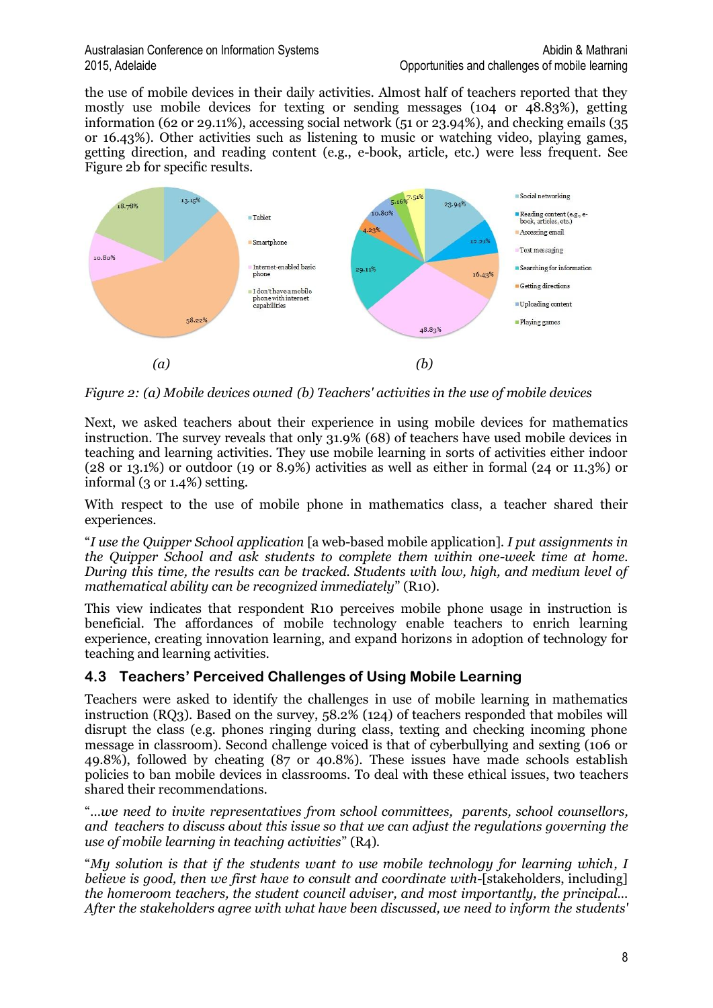#### Australasian Conference on Information Systems Abidin & Mathrani 2015, Adelaide Opportunities and challenges of mobile learning

the use of mobile devices in their daily activities. Almost half of teachers reported that they mostly use mobile devices for texting or sending messages (104 or 48.83%), getting information (62 or 29.11%), accessing social network (51 or 23.94%), and checking emails (35 or 16.43%). Other activities such as listening to music or watching video, playing games, getting direction, and reading content (e.g., e-book, article, etc.) were less frequent. See Figure 2b for specific results.



*Figure 2: (a) Mobile devices owned (b) Teachers' activities in the use of mobile devices*

Next, we asked teachers about their experience in using mobile devices for mathematics instruction. The survey reveals that only 31.9% (68) of teachers have used mobile devices in teaching and learning activities. They use mobile learning in sorts of activities either indoor (28 or 13.1%) or outdoor (19 or 8.9%) activities as well as either in formal (24 or 11.3%) or informal (3 or 1.4%) setting.

With respect to the use of mobile phone in mathematics class, a teacher shared their experiences.

"*I use the Quipper School application* [a web-based mobile application]*. I put assignments in the Quipper School and ask students to complete them within one-week time at home. During this time, the results can be tracked. Students with low, high, and medium level of mathematical ability can be recognized immediately*" (R10).

This view indicates that respondent R10 perceives mobile phone usage in instruction is beneficial. The affordances of mobile technology enable teachers to enrich learning experience, creating innovation learning, and expand horizons in adoption of technology for teaching and learning activities.

## **4.3 Teachers' Perceived Challenges of Using Mobile Learning**

Teachers were asked to identify the challenges in use of mobile learning in mathematics instruction (RQ3). Based on the survey, 58.2% (124) of teachers responded that mobiles will disrupt the class (e.g. phones ringing during class, texting and checking incoming phone message in classroom). Second challenge voiced is that of cyberbullying and sexting (106 or 49.8%), followed by cheating (87 or 40.8%). These issues have made schools establish policies to ban mobile devices in classrooms. To deal with these ethical issues, two teachers shared their recommendations.

"*…we need to invite representatives from school committees, parents, school counsellors, and teachers to discuss about this issue so that we can adjust the regulations governing the use of mobile learning in teaching activities*" (R4).

"*My solution is that if the students want to use mobile technology for learning which, I believe is good, then we first have to consult and coordinate with-*[stakeholders, including] *the homeroom teachers, the student council adviser, and most importantly, the principal… After the stakeholders agree with what have been discussed, we need to inform the students'*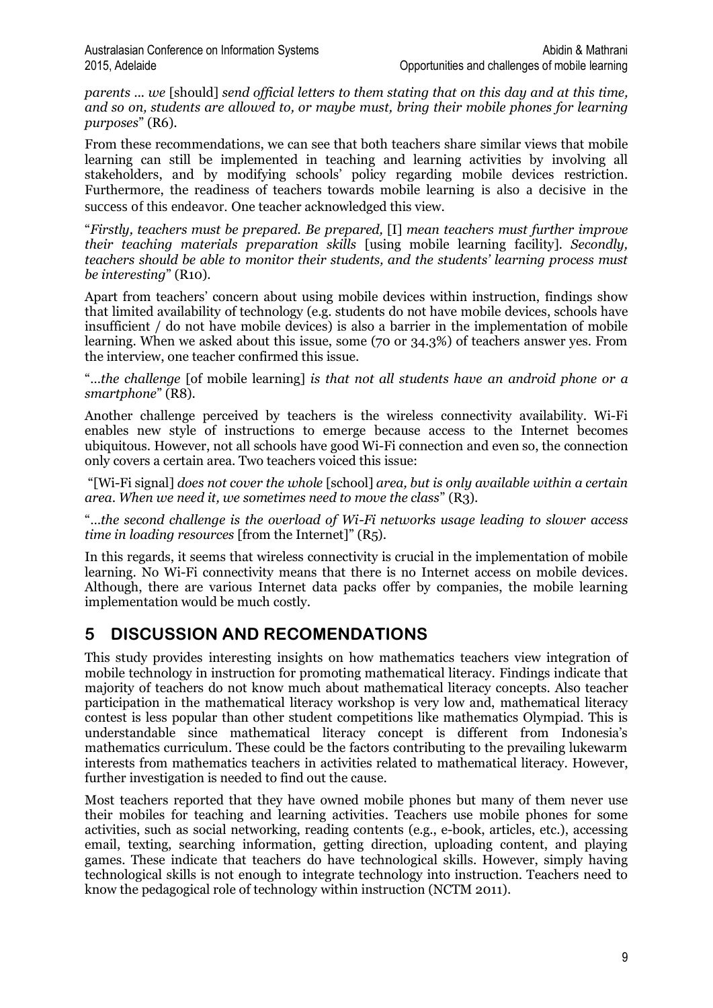*parents ... we* [should] *send official letters to them stating that on this day and at this time, and so on, students are allowed to, or maybe must, bring their mobile phones for learning purposes*" (R6).

From these recommendations, we can see that both teachers share similar views that mobile learning can still be implemented in teaching and learning activities by involving all stakeholders, and by modifying schools' policy regarding mobile devices restriction. Furthermore, the readiness of teachers towards mobile learning is also a decisive in the success of this endeavor. One teacher acknowledged this view.

"*Firstly, teachers must be prepared. Be prepared,* [I] *mean teachers must further improve their teaching materials preparation skills* [using mobile learning facility]*. Secondly, teachers should be able to monitor their students, and the students' learning process must be interesting*" (R10).

Apart from teachers' concern about using mobile devices within instruction, findings show that limited availability of technology (e.g. students do not have mobile devices, schools have insufficient / do not have mobile devices) is also a barrier in the implementation of mobile learning. When we asked about this issue, some (70 or 34.3%) of teachers answer yes. From the interview, one teacher confirmed this issue.

"*…the challenge* [of mobile learning] *is that not all students have an android phone or a smartphone*" (R8).

Another challenge perceived by teachers is the wireless connectivity availability. Wi-Fi enables new style of instructions to emerge because access to the Internet becomes ubiquitous. However, not all schools have good Wi-Fi connection and even so, the connection only covers a certain area. Two teachers voiced this issue:

"[Wi-Fi signal] *does not cover the whole* [school] *area, but is only available within a certain area*. *When we need it, we sometimes need to move the class*" (R3).

"…*the second challenge is the overload of Wi-Fi networks usage leading to slower access time in loading resources* [from the Internet]" (R5).

In this regards, it seems that wireless connectivity is crucial in the implementation of mobile learning. No Wi-Fi connectivity means that there is no Internet access on mobile devices. Although, there are various Internet data packs offer by companies, the mobile learning implementation would be much costly.

## **5 DISCUSSION AND RECOMENDATIONS**

This study provides interesting insights on how mathematics teachers view integration of mobile technology in instruction for promoting mathematical literacy. Findings indicate that majority of teachers do not know much about mathematical literacy concepts. Also teacher participation in the mathematical literacy workshop is very low and, mathematical literacy contest is less popular than other student competitions like mathematics Olympiad. This is understandable since mathematical literacy concept is different from Indonesia's mathematics curriculum. These could be the factors contributing to the prevailing lukewarm interests from mathematics teachers in activities related to mathematical literacy. However, further investigation is needed to find out the cause.

Most teachers reported that they have owned mobile phones but many of them never use their mobiles for teaching and learning activities. Teachers use mobile phones for some activities, such as social networking, reading contents (e.g., e-book, articles, etc.), accessing email, texting, searching information, getting direction, uploading content, and playing games. These indicate that teachers do have technological skills. However, simply having technological skills is not enough to integrate technology into instruction. Teachers need to know the pedagogical role of technology within instruction (NCTM 2011).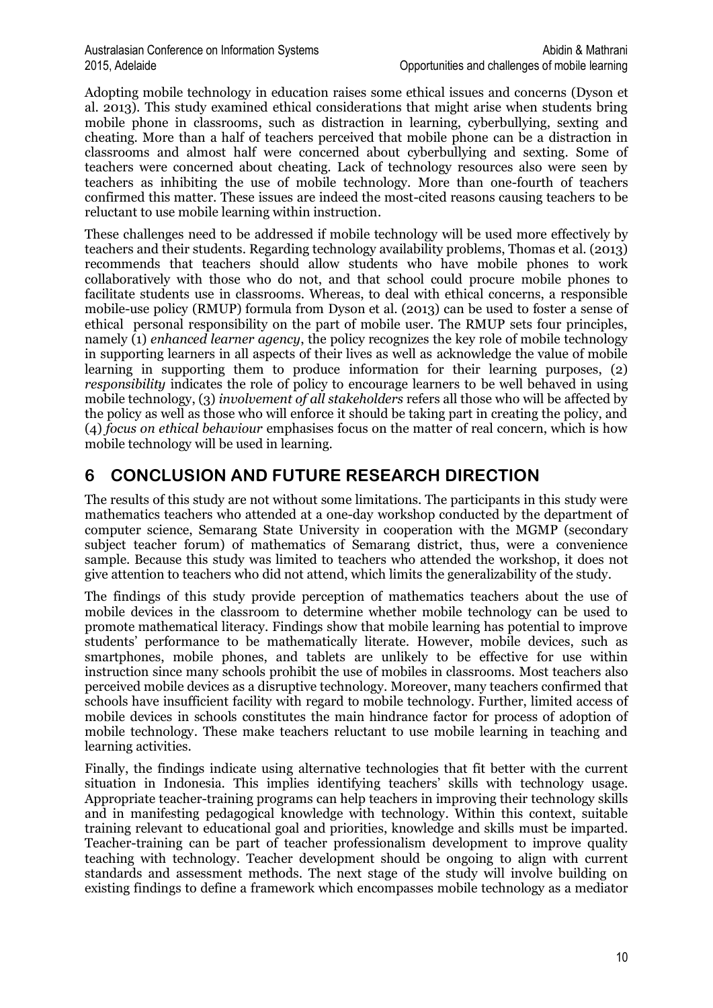Adopting mobile technology in education raises some ethical issues and concerns (Dyson et al. 2013). This study examined ethical considerations that might arise when students bring mobile phone in classrooms, such as distraction in learning, cyberbullying, sexting and cheating. More than a half of teachers perceived that mobile phone can be a distraction in classrooms and almost half were concerned about cyberbullying and sexting. Some of teachers were concerned about cheating. Lack of technology resources also were seen by teachers as inhibiting the use of mobile technology. More than one-fourth of teachers confirmed this matter. These issues are indeed the most-cited reasons causing teachers to be reluctant to use mobile learning within instruction.

These challenges need to be addressed if mobile technology will be used more effectively by teachers and their students. Regarding technology availability problems, Thomas et al. (2013) recommends that teachers should allow students who have mobile phones to work collaboratively with those who do not, and that school could procure mobile phones to facilitate students use in classrooms. Whereas, to deal with ethical concerns, a responsible mobile-use policy (RMUP) formula from Dyson et al. (2013) can be used to foster a sense of ethical personal responsibility on the part of mobile user. The RMUP sets four principles, namely (1) *enhanced learner agency*, the policy recognizes the key role of mobile technology in supporting learners in all aspects of their lives as well as acknowledge the value of mobile learning in supporting them to produce information for their learning purposes, (2) *responsibility* indicates the role of policy to encourage learners to be well behaved in using mobile technology, (3) *involvement of all stakeholders* refers all those who will be affected by the policy as well as those who will enforce it should be taking part in creating the policy, and (4) *focus on ethical behaviour* emphasises focus on the matter of real concern, which is how mobile technology will be used in learning.

## **6 CONCLUSION AND FUTURE RESEARCH DIRECTION**

The results of this study are not without some limitations. The participants in this study were mathematics teachers who attended at a one-day workshop conducted by the department of computer science, Semarang State University in cooperation with the MGMP (secondary subject teacher forum) of mathematics of Semarang district, thus, were a convenience sample. Because this study was limited to teachers who attended the workshop, it does not give attention to teachers who did not attend, which limits the generalizability of the study.

The findings of this study provide perception of mathematics teachers about the use of mobile devices in the classroom to determine whether mobile technology can be used to promote mathematical literacy. Findings show that mobile learning has potential to improve students' performance to be mathematically literate. However, mobile devices, such as smartphones, mobile phones, and tablets are unlikely to be effective for use within instruction since many schools prohibit the use of mobiles in classrooms. Most teachers also perceived mobile devices as a disruptive technology. Moreover, many teachers confirmed that schools have insufficient facility with regard to mobile technology. Further, limited access of mobile devices in schools constitutes the main hindrance factor for process of adoption of mobile technology. These make teachers reluctant to use mobile learning in teaching and learning activities.

Finally, the findings indicate using alternative technologies that fit better with the current situation in Indonesia. This implies identifying teachers' skills with technology usage. Appropriate teacher-training programs can help teachers in improving their technology skills and in manifesting pedagogical knowledge with technology. Within this context, suitable training relevant to educational goal and priorities, knowledge and skills must be imparted. Teacher-training can be part of teacher professionalism development to improve quality teaching with technology. Teacher development should be ongoing to align with current standards and assessment methods. The next stage of the study will involve building on existing findings to define a framework which encompasses mobile technology as a mediator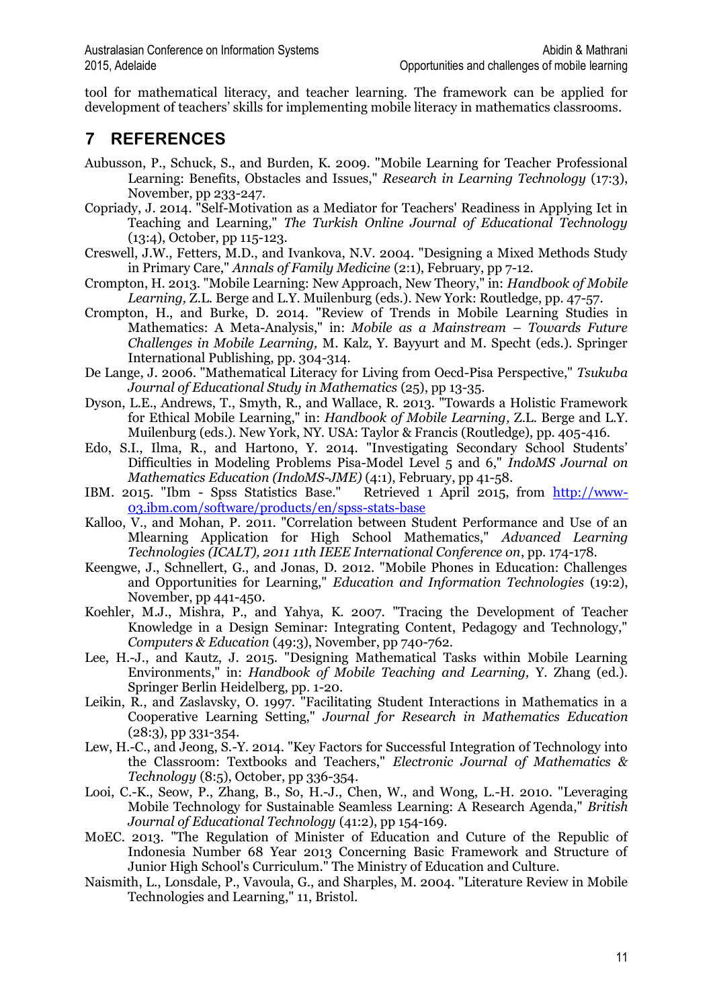tool for mathematical literacy, and teacher learning. The framework can be applied for development of teachers' skills for implementing mobile literacy in mathematics classrooms.

## **7 REFERENCES**

- Aubusson, P., Schuck, S., and Burden, K. 2009. "Mobile Learning for Teacher Professional Learning: Benefits, Obstacles and Issues," *Research in Learning Technology* (17:3), November, pp 233-247.
- Copriady, J. 2014. "Self-Motivation as a Mediator for Teachers' Readiness in Applying Ict in Teaching and Learning," *The Turkish Online Journal of Educational Technology* (13:4), October, pp 115-123.
- Creswell, J.W., Fetters, M.D., and Ivankova, N.V. 2004. "Designing a Mixed Methods Study in Primary Care," *Annals of Family Medicine* (2:1), February, pp 7-12.
- Crompton, H. 2013. "Mobile Learning: New Approach, New Theory," in: *Handbook of Mobile Learning,* Z.L. Berge and L.Y. Muilenburg (eds.). New York: Routledge, pp. 47-57.
- Crompton, H., and Burke, D. 2014. "Review of Trends in Mobile Learning Studies in Mathematics: A Meta-Analysis," in: *Mobile as a Mainstream – Towards Future Challenges in Mobile Learning,* M. Kalz, Y. Bayyurt and M. Specht (eds.). Springer International Publishing, pp. 304-314.
- De Lange, J. 2006. "Mathematical Literacy for Living from Oecd-Pisa Perspective," *Tsukuba Journal of Educational Study in Mathematics* (25), pp 13-35.
- Dyson, L.E., Andrews, T., Smyth, R., and Wallace, R. 2013. "Towards a Holistic Framework for Ethical Mobile Learning," in: *Handbook of Mobile Learning,* Z.L. Berge and L.Y. Muilenburg (eds.). New York, NY. USA: Taylor & Francis (Routledge), pp. 405-416.
- Edo, S.I., Ilma, R., and Hartono, Y. 2014. "Investigating Secondary School Students' Difficulties in Modeling Problems Pisa-Model Level 5 and 6," *IndoMS Journal on Mathematics Education (IndoMS-JME)* (4:1), February, pp 41-58.<br>2015. "Ibm - Spss Statistics Base." Retrieved 1 April 2015, from http://www-
- IBM. 2015. "Ibm Spss Statistics Base." [03.ibm.com/software/products/en/spss-stats-base](http://www-03.ibm.com/software/products/en/spss-stats-base)
- Kalloo, V., and Mohan, P. 2011. "Correlation between Student Performance and Use of an Mlearning Application for High School Mathematics," *Advanced Learning Technologies (ICALT), 2011 11th IEEE International Conference on*, pp. 174-178.
- Keengwe, J., Schnellert, G., and Jonas, D. 2012. "Mobile Phones in Education: Challenges and Opportunities for Learning," *Education and Information Technologies* (19:2), November, pp 441-450.
- Koehler, M.J., Mishra, P., and Yahya, K. 2007. "Tracing the Development of Teacher Knowledge in a Design Seminar: Integrating Content, Pedagogy and Technology," *Computers & Education* (49:3), November, pp 740-762.
- Lee, H.-J., and Kautz, J. 2015. "Designing Mathematical Tasks within Mobile Learning Environments," in: *Handbook of Mobile Teaching and Learning,* Y. Zhang (ed.). Springer Berlin Heidelberg, pp. 1-20.
- Leikin, R., and Zaslavsky, O. 1997. "Facilitating Student Interactions in Mathematics in a Cooperative Learning Setting," *Journal for Research in Mathematics Education* (28:3), pp 331-354.
- Lew, H.-C., and Jeong, S.-Y. 2014. "Key Factors for Successful Integration of Technology into the Classroom: Textbooks and Teachers," *Electronic Journal of Mathematics & Technology* (8:5), October, pp 336-354.
- Looi, C.-K., Seow, P., Zhang, B., So, H.-J., Chen, W., and Wong, L.-H. 2010. "Leveraging Mobile Technology for Sustainable Seamless Learning: A Research Agenda," *British Journal of Educational Technology* (41:2), pp 154-169.
- MoEC. 2013. "The Regulation of Minister of Education and Cuture of the Republic of Indonesia Number 68 Year 2013 Concerning Basic Framework and Structure of Junior High School's Curriculum." The Ministry of Education and Culture.
- Naismith, L., Lonsdale, P., Vavoula, G., and Sharples, M. 2004. "Literature Review in Mobile Technologies and Learning," 11, Bristol.